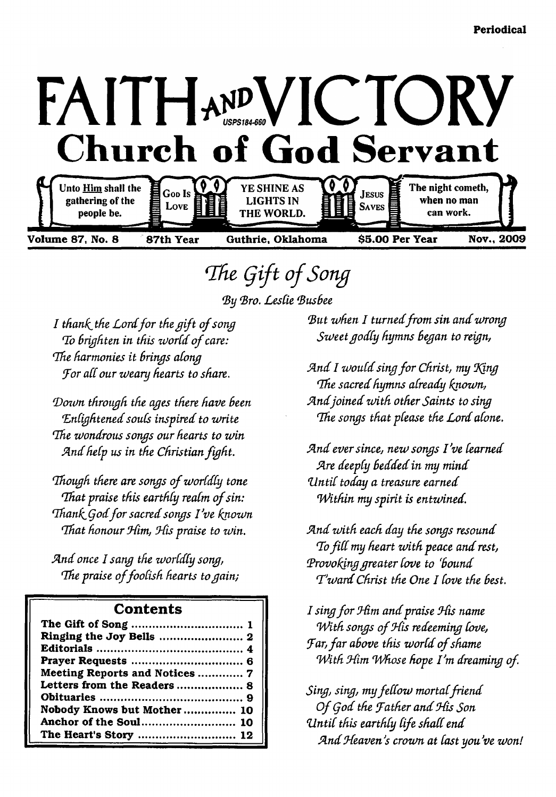

# <span id="page-0-0"></span>The Gift of Song

*(By (Bro. Lestie (BusBee*

*I thank the Lord for the gift of song To brighten in this world of care: Idle harmonies it Brinys atony iFor atC our weary hearts to share.*

*(Dozun throuyh the ayes there have Been* Enlightened souls inspired to write *The wondrous songs our hearts to win* And help us in the Christian fight.

*Though there are songs of worldly tone That praise this earthly realm of sin:* Thank God for sacred songs I've known *That honour Him, His praise to win.* 

*Sind once 1 sany the w ortdty sony,* The praise of foolish hearts to gain;

### **Contents**

| Meeting Reports and Notices  7 |
|--------------------------------|
| Letters from the Readers  8    |
|                                |
| Nobody Knows but Mother 10     |
|                                |
| The Heart's Story  12          |

But when I turned from sin and wrong *Sw eetyodty hymns Bey an to reiyn,*

*And I would sing for Christ, my King 'The sacred hymns atready known, S in d join ed w ith other Saints to siny* The songs that please the Lord alone.

And ever since, new songs I've learned *Are deeply bedded in my mind 'U n tit today a treasure earned* Within my spirit is entwined.

*Sind w ith each day the sonys resound T o fitt my heart w ith peace and rest, Provoking greater love to 'bound T\*w ard Christ the One I tove the Best.*

*I sing for Him and praise His name With songs of His redeeming love, Jar, far above this world of shame With Him Whose hope I'm dreaming of.* 

*Sing, sing, my fellow mortal friend Of God the Father and His Son Z ln tit this earthty tife shatt end* And Heaven's crown at last you've won!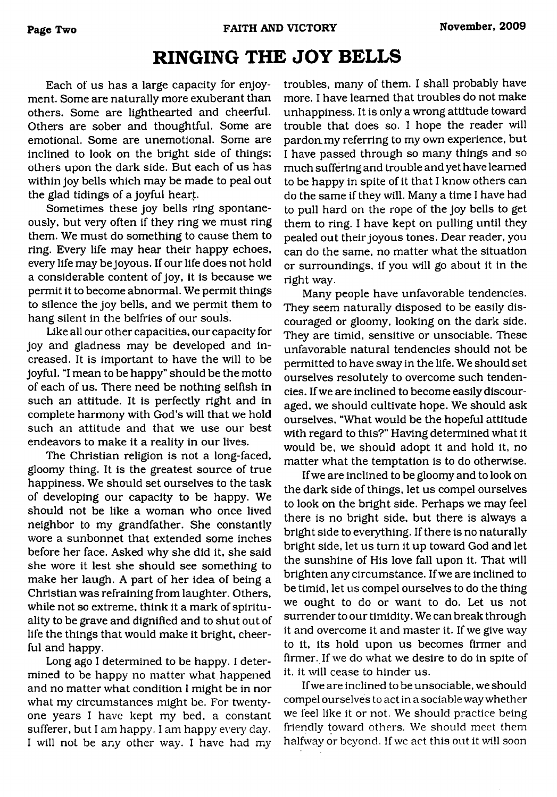## <span id="page-1-0"></span>**RINGING THE JOY BELLS**

Each of us has a large capacity for enjoyment. Some are naturally more exuberant than others. Some are lighthearted and cheerful. Others are sober and thoughtful. Some are emotional. Some are unemotional. Some are inclined to look on the bright side of things; others upon the dark side. But each of us has within joy bells which may be made to peal out the glad tidings of a joyful heart.

Sometimes these joy bells ring spontaneously, but very often if they ring we must ring them. We must do something to cause them to ring. Every life may hear their happy echoes, every life may be joyous. If our life does not hold a considerable content of joy, it is because we permit it to become abnormal. We permit things to silence the joy bells, and we permit them to hang silent in the belfries of our souls.

Like all our other capacities, our capacity for joy and gladness may be developed and increased. It is important to have the will to be joyful. "I mean to be happy" should be the motto of each of us. There need be nothing selfish in such an attitude. It is perfectly right and in complete harmony with God's will that we hold such an attitude and that we use our best endeavors to make it a reality in our lives.

The Christian religion is not a long-faced, gloomy thing. It is the greatest source of true happiness. We should set ourselves to the task of developing our capacity to be happy. We should not be like a woman who once lived neighbor to my grandfather. She constantly wore a sunbonnet that extended some inches before her face. Asked why she did it, she said she wore it lest she should see something to make her laugh. A part of her idea of being a Christian was refraining from laughter. Others, while not so extreme, think it a mark of spirituality to be grave and dignified and to shut out of life the things that would make it bright, cheerful and happy.

Long ago I determined to be happy. I determined to be happy no matter what happened and no matter what condition I might be in nor what my circumstances might be. For twentyone years I have kept my bed, a constant sufferer, but I am happy. I am happy every day. I will not be any other way. I have had my troubles, many of them. I shall probably have more. I have learned that troubles do not make unhappiness. It is only a wrong attitude toward trouble that does so. I hope the reader will pardon.my referring to my own experience, but I have passed through so many things and so much suffering and trouble and yet have learned to be happy in spite of it that I know others can do the same if they will. Many a time I have had to pull hard on the rope of the joy bells to get them to ring. I have kept on pulling until they pealed out their joyous tones. Dear reader, you can do the same, no matter what the situation or surroundings, if you will go about it in the right way.

Many people have unfavorable tendencies. They seem naturally disposed to be easily discouraged or gloomy, looking on the dark side. They are timid, sensitive or unsociable. These unfavorable natural tendencies should not be permitted to have sway in the life. We should set ourselves resolutely to overcome such tendencies. If we are inclined to become easily discouraged, we should cultivate hope. We should ask ourselves, "What would be the hopeful attitude with regard to this?" Having determined what it would be, we should adopt it and hold it, no matter what the temptation is to do otherwise.

If we are inclined to be gloomy and to look on the dark side of things, let us compel ourselves to look on the bright side. Perhaps we may feel there is no bright side, but there is always a bright side to everything. If there is no naturally bright side, let us turn it up toward God and let the sunshine of His love fall upon it. That will brighten any circumstance. If we are inclined to be timid, let us compel ourselves to do the thing we ought to do or want to do. Let us not surrender to our timidity. We can break through it and overcome it and master it. If we give way to it, its hold upon us becomes firmer and firmer. If we do what we desire to do in spite of it, it will cease to hinder us.

If we are inclined to be unsociable, we should compel ourselves to act in a sociable way whether we feel like it or not. We should practice being friendly toward others. We should meet them halfway or beyond. If we act this out it will soon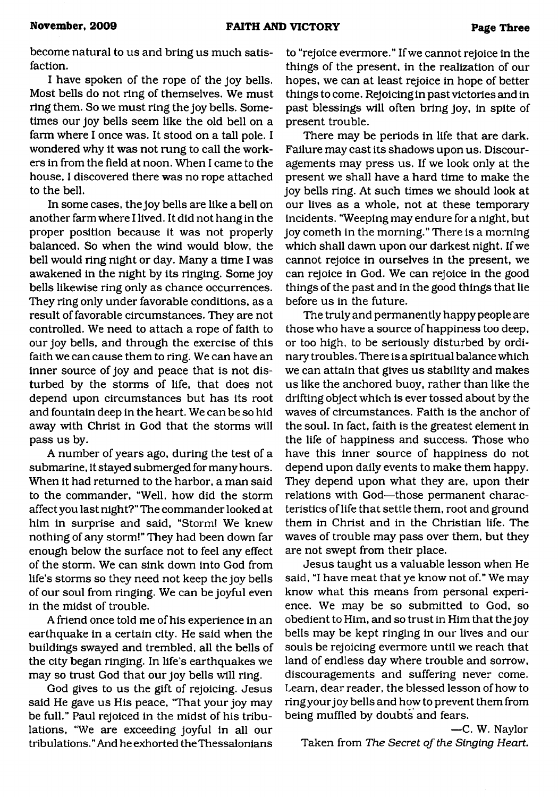become natural to us and bring us much satisfaction.

I have spoken of the rope of the joy bells. Most bells do not ring of themselves. We must ring them. So we must ring the joy bells. Sometimes our joy bells seem like the old bell on a farm where I once was. It stood on a tall pole. I wondered why it was not rung to call the workers in from the field at noon. When I came to the house, I discovered there was no rope attached to the bell.

In some cases, the joy bells are like a bell on another farm where I lived. It did not hang in the proper position because it was not properly balanced. So when the wind would blow, the bell would ring night or day. Many a time I was awakened in the night by its ringing. Some joy bells likewise ring only as chance occurrences. They ring only under favorable conditions, as a result of favorable circumstances. They are not controlled. We need to attach a rope of faith to our joy bells, and through the exercise of this faith we can cause them to ring. We can have an inner source of joy and peace that is not disturbed by the storms of life, that does not depend upon circumstances but has its root and fountain deep in the heart. We can be so hid away with Christ in God that the storms will pass us by.

A number of years ago, during the test of a submarine, it stayed submerged for many hours. When it had returned to the harbor, a man said to the commander, "Well, how did the storm affect you last night?" The commander looked at him in surprise and said, "Storm! We knew nothing of any storm!" They had been down far enough below the surface not to feel any effect of the storm. We can sink down into God from life's storms so they need not keep the joy bells of our soul from ringing. We can be joyful even in the midst of trouble.

A friend once told me of his experience in an earthquake in a certain city. He said when the buildings swayed and trembled, all the bells of the city began ringing. In life's earthquakes we may so trust God that our joy bells will ring.

God gives to us the gift of rejoicing. Jesus said He gave us His peace, "That your joy may be full." Paul rejoiced in the midst of his tribulations, "We are exceeding joyful in all our tribulations." And he exhorted theThessalonians

to "rejoice evermore." If we cannot rejoice in the things of the present, in the realization of our hopes, we can at least rejoice in hope of better things to come. Rejoicing in past victories and in past blessings will often bring joy, in spite of present trouble.

There may be periods in life that are dark. Failure may cast its shadows upon us. Discouragements may press us. If we look only at the present we shall have a hard time to make the joy bells ring. At such times we should look at our lives as a whole, not at these temporary incidents. "Weeping may endure for a night, but joy cometh in the morning." There is a morning which shall dawn upon our darkest night. If we cannot rejoice in ourselves in the present, we can rejoice in God. We can rejoice in the good things of the past and in the good things that lie before us in the future.

The truly and permanently happy people are those who have a source of happiness too deep, or too high, to be seriously disturbed by ordinary troubles. There is a spiritual balance which we can attain that gives us stability and makes us like the anchored buoy, rather than like the drifting object which is ever tossed about by the waves of circumstances. Faith is the anchor of the soul. In fact, faith is the greatest element in the life of happiness and success. Those who have this inner source of happiness do not depend upon daily events to make them happy. They depend upon what they are, upon their relations with God—those permanent characteristics of life that settle them, root and ground them in Christ and in the Christian life. The waves of trouble may pass over them, but they are not swept from their place.

Jesus taught us a valuable lesson when He said, "I have meat that ye know not of." We may know what this means from personal experience. We may be so submitted to God, so obedient to Him, and so trust in Him that the joy bells may be kept ringing in our lives and our souls be rejoicing evermore until we reach that land of endless day where trouble and sorrow, discouragements and suffering never come. Learn, dear reader, the blessed lesson of how to ring your joy bells and how to prevent them from being muffled by doubts and fears.

—C. W. Naylor Taken from *The Secret of the Singing Heart.*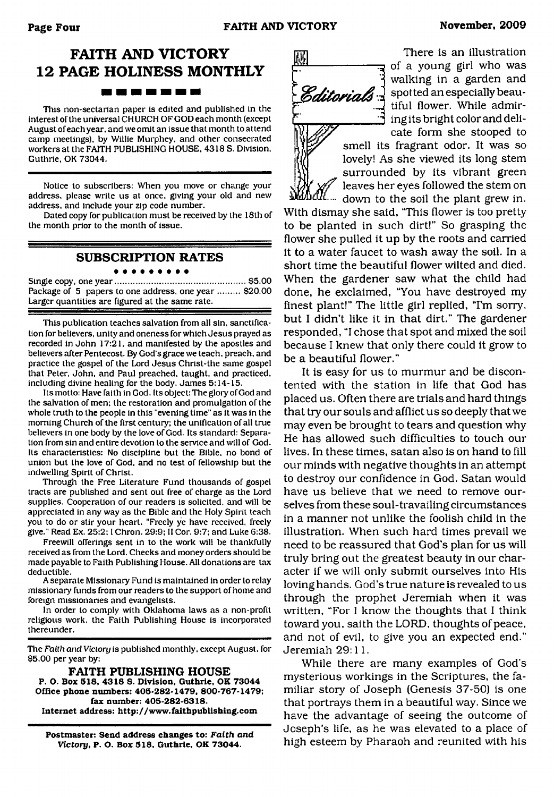### **FAITH AND VICTORY 12 PAGE HOLINESS MONTHLY** --------

This non-sectarian paper is edited and published in the interest of the universal CHURCH OF GOD each month (except August of each year, and we omit an issue that month to attend camp meetings), by Willie Murphey. and other consecrated workers at the FAITH PUBLISHING HOUSE, 4318 S. Division. Guthrie. OK 73044.

Notice to subscribers: When you move or change your address, please write us at once, giving your old and new address, and include your zip code number.

Dated copy for publication must be received by the 18th of the month prior to the month of issue.

### **SUBSCRIPTION RATES**

. . . . . . . . . Single copy, one year..................................................... \$5.00 Package of 5 papers to one address, one year ......... \$20.00 Larger quantities are figured at the same rate.

This publication teaches salvation from all sin, sanctification for believers, unity and oneness for which Jesus prayed as recorded in John 17:21, and manifested by the apostles and believers after Pentecost. By God's grace we teach, preach, and practice the gospel of the Lord Jesus Christ-the same gospel that Peter. John, and Paul preached, taught, and practiced, including divine healing for the body. James 5:14-15.

Its motto: Have faith in God. Its object: The glory of God and the salvation of men: the restoration and promulgation of the whole truth to the people in this "evening time" as it was in the morning Church of the first century: the unification of all true believers in one body by the love of God. Its standard: Separation from sin and entire devotion to the service and will of God. Its characteristics: No discipline but the Bible, no bond of union but the love of God, and no test of fellowship but the indwelling Spirit of Christ.

Through the Free Literature Fund thousands of gospel tracts are published and sent out free of charge as the Lord supplies. Cooperation of our readers is solicited, and will be appreciated in any way as the Bible and the Holy Spirit teach you to do or stir your heart. "Freely ye have received, freely give." Read Ex. 25:2:1 Chron. 29:9; II Cor. 9:7; and Luke 6:38.

Freewill offerings sent in to the work will be thankfully received as from the Lord. Checks and money orders should be made payable to Faith Publishing House. All donations are tax deductible.

A separate Missionary Fund is maintained in order to relay missionary funds from our readers to the support of home and foreign missionaries and evangelists.

In order to comply with Oklahoma laws as a non-profit religious work, the Faith Publishing House is incorporated thereunder.

The *Faith and Victory* is published monthly, except August, for \$5.00 per year by:

**FAITH PUBLISHING HOUSE P. O. Box 518, 4318 S. Division, Guthrie, OK 73044 Office phone numbers: 405-282-1479, 800-767-1479; fax number: 405-282-6318. Internet address: <http://www.faithpublishing.com>**

**Postmaster: Send address changes to:** *Faith and Victory,* **P. O. Box 518, Guthrie, OK 73044.**



There is an illustration  $\frac{1}{\sqrt{2}}$  of a young girl who was walking in a garden and *Editorials*  $\frac{1}{2}$  spotted an especially beautiful flower. While admir-*A* ing its bright color and delicate form she stooped to

smell its fragrant odor. It was so lovely! As she viewed its long stem surrounded by its vibrant green leaves her eyes followed the stem on down to the soil the plant grew in.

With dismay she said, "This flower is too pretty to be planted in such dirt!" So grasping the flower she pulled it up by the roots and carried it to a water faucet to wash away the soil. In a short time the beautiful flower wilted and died. When the gardener saw what the child had done, he exclaimed, "You have destroyed my finest plant!" The little girl replied, "I'm sorry, but I didn't like it in that dirt." The gardener responded, "I chose that spot and mixed the soil because I knew that only there could it grow to be a beautiful flower."

It is easy for us to murmur and be discontented with the station in life that God has placed us. Often there are trials and hard things that try our souls and afflict us so deeply that we may even be brought to tears and question why He has allowed such difficulties to touch our lives. In these times, satan also is on hand to fill our minds with negative thoughts in an attempt to destroy our confidence in God. Satan would have us believe that we need to remove ourselves from these soul-travailing circumstances in a manner not unlike the foolish child in the illustration. When such hard times prevail we need to be reassured that God's plan for us will truly bring out the greatest beauty in our character if we will only submit ourselves into His loving hands. God's true nature is revealed to us through the prophet Jeremiah when it was written, "For I know the thoughts that I think toward you, saith the LORD, thoughts of peace, and not of evil, to give you an expected end." Jeremiah 29:11.

While there are many examples of God's mysterious workings in the Scriptures, the familiar story of Joseph (Genesis 37-50) is one that portrays them in a beautiful way. Since we have the advantage of seeing the outcome of Joseph's life, as he was elevated to a place of high esteem by Pharaoh and reunited with his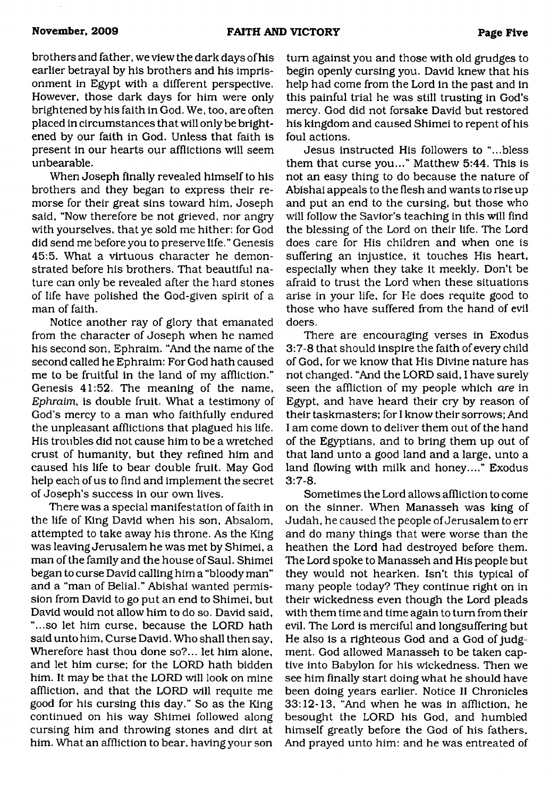brothers and father, we view the dark days of his earlier betrayal by his brothers and his imprisonment in Egypt with a different perspective. However, those dark days for him were only brightened by his faith in God. We, too, are often placed in circumstances that will only be brightened by our faith in God. Unless that faith is present in our hearts our afflictions will seem unbearable.

When Joseph finally revealed himself to his brothers and they began to express their remorse for their great sins toward him, Joseph said, "Now therefore be not grieved, nor angry with yourselves, that ye sold me hither: for God did send me before you to preserve life." Genesis 45:5. What a virtuous character he demonstrated before his brothers. That beautiful nature can only be revealed after the hard stones of life have polished the God-given spirit of a man of faith.

Notice another ray of glory that emanated from the character of Joseph when he named his second son, Ephraim. "And the name of the second called he Ephraim: For God hath caused me to be fruitful in the land of my affliction." Genesis 41:52. The meaning of the name, *Ephraim,* is double fruit. What a testimony of God's mercy to a man who faithfully endured the unpleasant afflictions that plagued his life. His troubles did not cause him to be a wretched crust of humanity, but they refined him and caused his life to bear double fruit. May God help each of us to find and implement the secret of Joseph's success in our own lives.

There was a special manifestation of faith in the life of King David when his son, Absalom, attempted to take away his throne. As the King was leaving Jerusalem he was met by Shimei, a man of the family and the house of Saul. Shimei began to curse David calling him a "bloody man" and a "man of Belial." Abishai wanted permission from David to go put an end to Shimei, but David would not allow him to do so. David said, "...so let him curse, because the LORD hath said unto him. Curse David. Who shall then say, Wherefore hast thou done so?... let him alone, and let him curse; for the LORD hath bidden him. It may be that the LORD will look on mine affliction, and that the LORD will requite me good for his cursing this day." So as the King continued on his way Shimei followed along cursing him and throwing stones and dirt at him. What an affliction to bear, having your son

turn against you and those with old grudges to begin openly cursing you. David knew that his help had come from the Lord in the past and in this painful trial he was still trusting in God's mercy. God did not forsake David but restored his kingdom and caused Shimei to repent of his foul actions.

Jesus instructed His followers to "...bless them that curse you..." Matthew 5:44. This is not an easy thing to do because the nature of Abishai appeals to the flesh and wants to rise up and put an end to the cursing, but those who will follow the Savior's teaching in this will find the blessing of the Lord on their life. The Lord does care for His children and when one is suffering an injustice, it touches His heart, especially when they take it meekly. Don't be afraid to trust the Lord when these situations arise in your life, for He does requite good to those who have suffered from the hand of evil doers.

There are encouraging verses in Exodus 3:7-8 that should inspire the faith of every child of God, for we know that His Divine nature has not changed. "And the LORD said, I have surely seen the affliction of my people which *are* in Egypt, and have heard their cry by reason of their taskmasters; for I know their sorrows; And I am come down to deliver them out of the hand of the Egyptians, and to bring them up out of that land unto a good land and a large, unto a land flowing with milk and honey...." Exodus 3:7-8.

Sometimes the Lord allows affliction to come on the sinner. When Manasseh was king of Judah, he caused the people of Jerusalem to err and do many things that were worse than the heathen the Lord had destroyed before them. The Lord spoke to Manasseh and His people but they would not hearken. Isn't this typical of many people today? They continue right on in their wickedness even though the Lord pleads with them time and time again to turn from their evil. The Lord is merciful and longsuffering but He also is a righteous God and a God of judgment. God allowed Manasseh to be taken captive into Babylon for his wickedness. Then we see him finally start doing what he should have been doing years earlier. Notice II Chronicles 33:12-13, "And when he was in affliction, he besought the LORD his God, and humbled himself greatly before the God of his fathers, And prayed unto him: and he was entreated of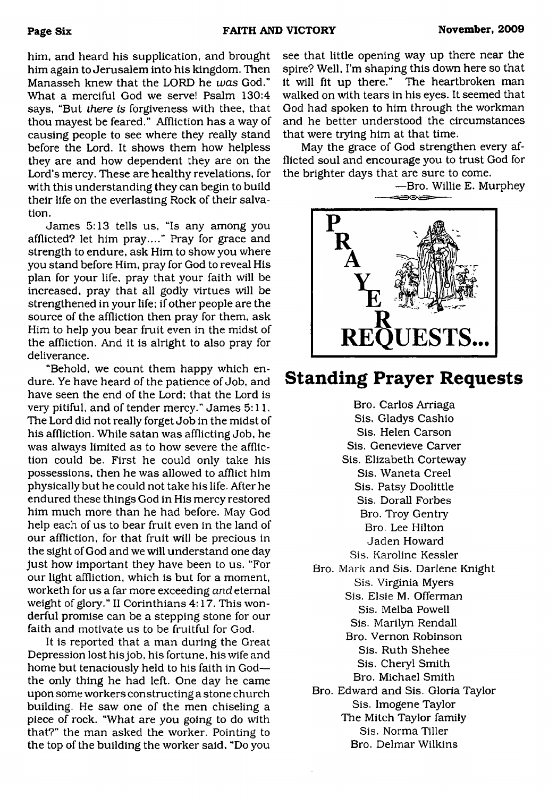him, and heard his supplication, and brought him again to Jerusalem into his kingdom. Then Manasseh knew that the LORD he *was* God." What a merciful God we serve! Psalm 130:4 says, "But *there is* forgiveness with thee, that thou mayest be feared." Affliction has a way of causing people to see where they really stand before the Lord. It shows them how helpless they are and how dependent they are on the Lord's mercy. These are healthy revelations, for with this understanding they can begin to build their life on the everlasting Rock of their salvation.

James 5:13 tells us, "Is any among you afflicted? let him pray...." Pray for grace and strength to endure, ask Him to show you where you stand before Him, pray for God to reveal His plan for your life, pray that your faith will be increased, pray that all godly virtues will be strengthened in your life; if other people are the source of the affliction then pray for them, ask Him to help you bear fruit even in the midst of the affliction. And it is alright to also pray for deliverance.

"Behold, we count them happy which endure. Ye have heard of the patience of Job, and have seen the end of the Lord; that the Lord is very pitiful, and of tender mercy." James 5:11. The Lord did not really forget Job in the midst of his affliction. While satan was afflicting Job, he was always limited as to how severe the affliction could be. First he could only take his possessions, then he was allowed to afflict him physically but he could not take his life. After he endured these things God in His mercy restored him much more than he had before. May God help each of us to bear fruit even in the land of our affliction, for that fruit will be precious in the sight of God and we will understand one day just how important they have been to us. "For our light affliction, which is but for a moment, worketh for us a far more exceeding *and* eternal weight of glory." II Corinthians 4:17. This wonderful promise can be a stepping stone for our faith and motivate us to be fruitful for God.

It is reported that a man during the Great Depression lost his job, his fortune, his wife and home but tenaciously held to his faith in God the only thing he had left. One day he came upon some workers constructing a stone church building. He saw one of the men chiseling a piece of rock. "What are you going to do with that?" the man asked the worker. Pointing to the top of the building the worker said, "Do you see that little opening way up there near the spire? Well, I'm shaping this down here so that it will fit up there." The heartbroken man walked on with tears in his eyes. It seemed that God had spoken to him through the workman and he better understood the circumstances that were trying him at that time.

May the grace of God strengthen every afflicted soul and encourage you to trust God for the brighter days that are sure to come.



### **Standing Prayer Requests**

Bro. Carlos Arriaga Sis. Gladys Cashio Sis. Helen Carson Sis. Genevieve Carver Sis. Elizabeth Corteway Sis. Waneta Creel Sis. Patsy Doolittle Sis. Dorall Forbes Bro. Troy Gentry Bro. Lee Hilton Jaden Howard Sis. Karoline Kessler Bro. Mark and Sis. Darlene Knight Sis. Virginia Myers Sis. Elsie M. Offerman Sis. Melba Powell Sis. Marilyn Rendall Bro. Vernon Robinson Sis. Ruth Shehee Sis. Cheryl Smith Bro. Michael Smith Bro. Edward and Sis. Gloria Taylor Sis. Imogene Taylor The Mitch Taylor family Sis. Norma Tiller Bro. Delmar Wilkins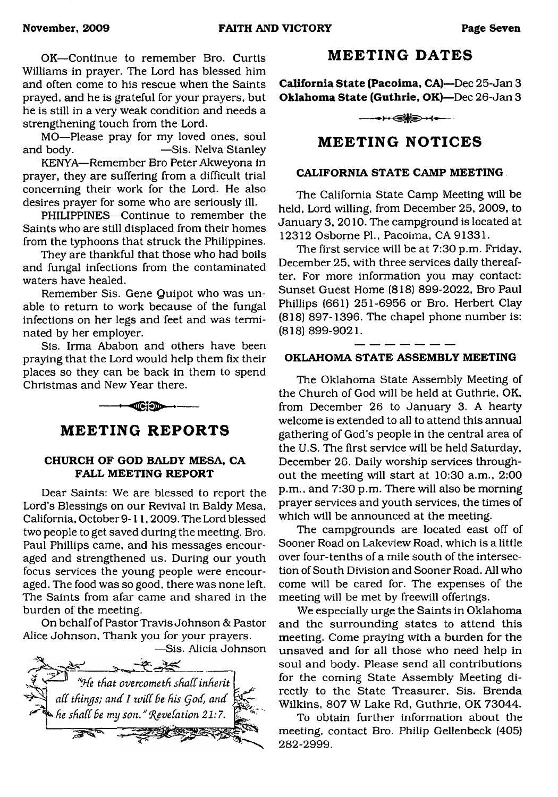OK—Continue to remember Bro. Curtis Williams in prayer. The Lord has blessed him and often come to his rescue when the Saints prayed, and he is grateful for your prayers, but he is still in a very weak condition and needs a strengthening touch from the Lord.

MO—Please pray for my loved ones, soul and body. — Sis. Nelva Stanley

KENYA—Remember Bro Peter Akweyona in prayer, they are suffering from a difficult trial concerning their work for the Lord. He also desires prayer for some who are seriously ill.

PHILIPPINES—Continue to remember the Saints who are still displaced from their homes from the typhoons that struck the Philippines.

They are thankful that those who had boils and fungal infections from the contaminated waters have healed.

Remember Sis. Gene Quipot who was unable to return to work because of the fungal infections on her legs and feet and was terminated by her employer.

Sis. Irma Ababon and others have been praying that the Lord would help them fix their places so they can be back in them to spend Christmas and New Year there.

 $-$ - $-$ 

### **MEETING REPORTS**

#### **CHURCH OF GOD BALDY MESA, CA FALL MEETING REPORT**

Dear Saints: We are blessed to report the Lord's Blessings on our Revival in Baldy Mesa, California, October 9-11,2009. The Lord blessed two people to get saved during the meeting. Bro. Paul Phillips came, and his messages encouraged and strengthened us. During our youth focus services the young people were encouraged. The food was so good, there was none left. The Saints from afar came and shared in the burden of the meeting.

On behalf of Pastor Travis Johnson & Pastor Alice Johnson, Thank you for your prayers.



### **MEETING DATES**

**California State (Pacoima, CA)**—Dec 25-Jan 3 **Oklahoma State (Guthrie, OK)**—Dec 26-Jan 3

 $\leftrightarrow$ 

### **MEETING NOTICES**

### **CALIFORNIA STATE CAMP MEETING**

The California State Camp Meeting will be held, Lord willing, from December 25, 2009, to January 3, 2010. The campground is located at 12312 Osborne PL, Pacoima, CA 91331.

The first service will be at 7:30 p.m. Friday, December 25, with three services daily thereafter. For more information you may contact: Sunset Guest Home (818) 899-2022, Bro Paul Phillips (661) 251-6956 or Bro. Herbert Clay (818) 897-1396. The chapel phone number is: (818) 899-9021.

### **OKLAHOMA STATE ASSEMBLY MEETING**

The Oklahoma State Assembly Meeting of the Church of God will be held at Guthrie, OK, from December 26 to January 3. A hearty welcome is extended to all to attend this annual gathering of God's people in the central area of the U.S. The first service will be held Saturday, December 26. Daily worship services throughout the meeting will start at 10:30 a.m., 2:00 p.m., and 7:30 p.m. There will also be morning prayer services and youth services, the times of which will be announced at the meeting.

The campgrounds are located east off of Sooner Road on Lakeview Road, which is a little over four-tenths of a mile south of the intersection of South Division and Sooner Road. All who come will be cared for. The expenses of the meeting will be met by freewill offerings.

We especially urge the Saints in Oklahoma and the surrounding states to attend this meeting. Come praying with a burden for the unsaved and for all those who need help in soul and body. Please send all contributions for the coming State Assembly Meeting directly to the State Treasurer, Sis. Brenda Wilkins, 807 W Lake Rd, Guthrie. OK 73044.

To obtain further information about the meeting, contact Bro. Philip Gellenbeck (405) 282-2999.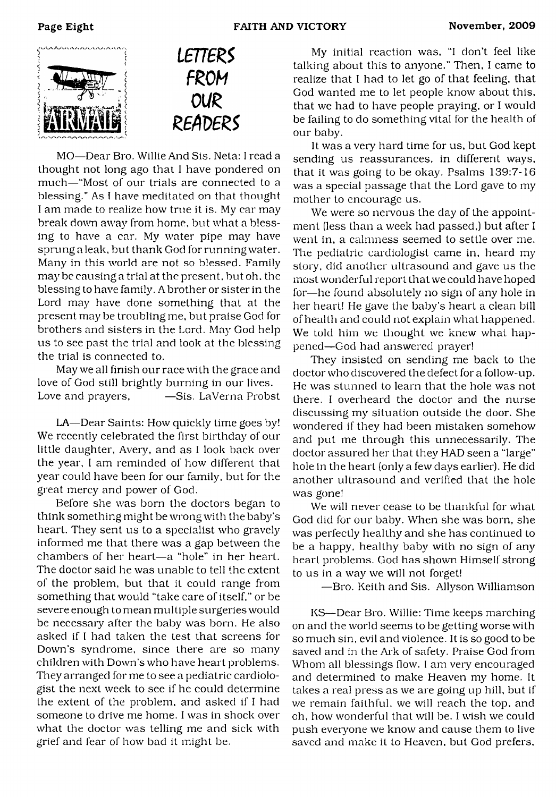



MO—Dear Bro. Willie And Sis. Neta: I read a thought not long ago that I have pondered on much—"Most of our trials are connected to a blessing." As I have meditated on that thought I am made to realize how true it is. My car may break down away from home, but what a blessing to have a car. My water pipe may have sprung a leak, but thank God for running water. Many in this world are not so blessed. Family maybe causing a trial at the present, but oh, the blessing to have family. A brother or sister in the Lord may have done something that at the present may be troubling me, but praise God for brothers and sisters in the Lord. May God help us to see past the trial and look at the blessing the trial is connected to.

May we all finish our race with the grace and love of God still brightly burning in our lives. Love and prayers,  $-$ Sis. LaVerna Probst

LA—Dear Saints: How quickly time goes by! We recently celebrated the first birthday of our little daughter, Avery, and as I look back over the year, I am reminded of how different that year could have been for our family, but for the great mercy and power of God.

Before she was born the doctors began to think something might be wrong with the baby's heart. They sent us to a specialist who gravely informed me that there was a gap between the chambers of her heart—a "hole" in her heart. The doctor said he was unable to tell the extent of the problem, but that it could range from something that would "take care of itself," or be severe enough to mean multiple surgeries would be necessary after the baby was born. He also asked if I had taken the test that screens for Down's syndrome, since there are so many children with Down's who have heart problems. They arranged for me to see a pediatric cardiologist the next week to see if he could determine the extent of the problem, and asked if I had someone to drive me home. I was in shock over what the doctor was telling me and sick with grief and fear of how bad it might be.

My initial reaction was, "I don't feel like talking about this to anyone." Then, I came to realize that I had to let go of that feeling, that God wanted me to let people know about this, that we had to have people praying, or I would be failing to do something vital for the health of our baby.

It was a very hard time for us, but God kept sending us reassurances, in different ways, that it was going to be okay. Psalms 139:7-16 was a special passage that the Lord gave to my mother to encourage us.

We were so nervous the day of the appointment (less than a week had passed,] but after I went in, a calmness seemed to settle over me. The pediatric cardiologist came in, heard my story, did another ultrasound and gave us the most wonderful report that we could have hoped for—he found absolutely no sign of any hole in her heart! He gave the baby's heart a clean bill of health and could not explain what happened. We told him we thought we knew what happened—God had answered prayer!

They insisted on sending me back to the doctor who discovered the defect for a follow-up. He was stunned to learn that the hole was not there. I overheard the doctor and the nurse discussing my situation outside the door. She wondered if they had been mistaken somehow and put me through this unnecessarily. The doctor assured her that they HAD seen a "large" hole in the heart (only a few days earlier). He did another ultrasound and verified that the hole was gone!

We will never cease to be thankful for what God did for our baby. When she was born, she was perfectly healthy and she has continued to be a happy, healthy baby with no sign of any heart problems. God has shown Himself strong to us in a way we will not forget!

—Bro. Keith and Sis. Allyson Williamson

KS—Dear Bro. Willie: Time keeps marching on and the world seems to be getting worse with so much sin, evil and violence. It is so good to be saved and in the Ark of safety. Praise God from Whom all blessings flow. I am very encouraged and determined to make Heaven my home. It takes a real press as we are going up hill, but if we remain faithful, we will reach the top, and oh, how wonderful that will be. I wish we could push everyone we know and cause them to live saved and make it to Heaven, but God prefers.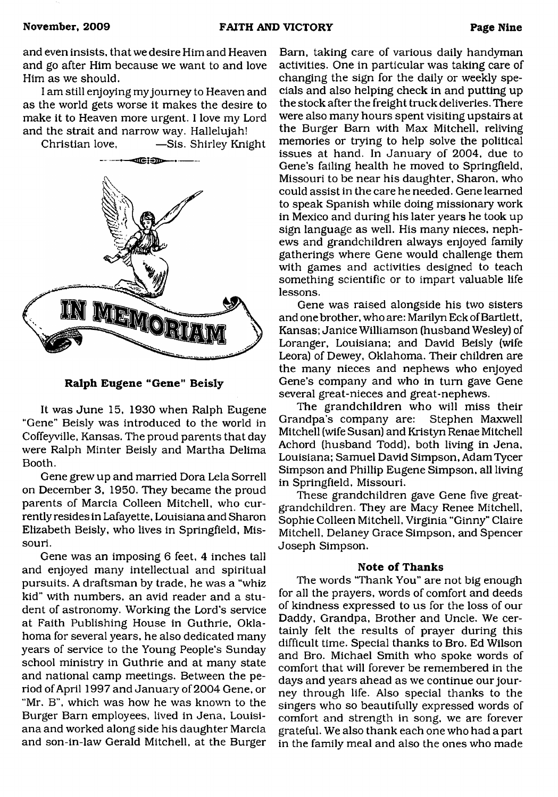and even insists, that we desire Him and Heaven and go after Him because we want to and love Him as we should.

I am still enjoying my journey to Heaven and as the world gets worse it makes the desire to make it to Heaven more urgent. I love my Lord and the strait and narrow way. Hallelujah!

Christian love, -Sis. Shirley Knight



**Ralph Eugene "Gene" Beisly**

It was June 15, 1930 when Ralph Eugene "Gene" Beisly was introduced to the world in Coffeyville, Kansas. The proud parents that day were Ralph Minter Beisly and Martha Delima Booth.

Gene grew up and married Dora Lela Sorrell on December 3, 1950. They became the proud parents of Marcia Colleen Mitchell, who currently resides in Lafayette, Louisiana and Sharon Elizabeth Beisly, who lives in Springfield, Missouri.

Gene was an imposing 6 feet, 4 inches tall and enjoyed many intellectual and spiritual pursuits. A draftsman by trade, he was a "whiz kid" with numbers, an avid reader and a student of astronomy. Working the Lord's service at Faith Publishing House in Guthrie, Oklahoma for several years, he also dedicated many years of service to the Young People's Sunday school ministry in Guthrie and at many state and national camp meetings. Between the period of April 1997 and January of 2004 Gene, or "Mr. B", which was how he was known to the Burger Barn employees, lived in Jena, Louisiana and worked along side his daughter Marcia and son-in-law Gerald Mitchell, at the Burger

Bam, taking care of various daily handyman activities. One in particular was taking care of changing the sign for the daily or weekly specials and also helping check in and putting up the stock after the freight truck deliveries. There were also many hours spent visiting upstairs at the Burger Bam with Max Mitchell, reliving memories or trying to help solve the political issues at hand. In January of 2004, due to Gene's failing health he moved to Springfield, Missouri to be near his daughter, Sharon, who could assist in the care he needed. Gene learned to speak Spanish while doing missionary work in Mexico and during his later years he took up sign language as well. His many nieces, nephews and grandchildren always enjoyed family gatherings where Gene would challenge them with games and activities designed to teach something scientific or to impart valuable life lessons.

Gene was raised alongside his two sisters and one brother, who are: Marilyn Eck of Bartlett, Kansas; Janice Williamson (husband Wesley) of Loranger, Louisiana; and David Beisly (wife Leora) of Dewey, Oklahoma. Their children are the many nieces and nephews who enjoyed Gene's company and who in turn gave Gene several great-nieces and great-nephews.

The grandchildren who will miss their Grandpa's company are: Stephen Maxwell Mitchell (wife Susan) and Kristyn Renae Mitchell Achord (husband Todd), both living in Jena, Louisiana; Samuel David Simpson, Adam Tycer Simpson and Phillip Eugene Simpson, all living in Springfield, Missouri.

These grandchildren gave Gene five greatgrandchildren. They are Macy Renee Mitchell, Sophie Colleen Mitchell, Virginia "Ginny" Claire Mitchell, Delaney Grace Simpson, and Spencer Joseph Simpson.

#### **Note of Thanks**

The words "Thank You" are not big enough for all the prayers, words of comfort and deeds of kindness expressed to us for the loss of our Daddy, Grandpa, Brother and Uncle. We certainly felt the results of prayer during this difficult time. Special thanks to Bro. Ed Wilson and Bro. Michael Smith who spoke words of comfort that will forever be remembered in the days and years ahead as we continue our journey through life. Also special thanks to the singers who so beautifully expressed words of comfort and strength in song, we are forever grateful. We also thank each one who had a part in the family meal and also the ones who made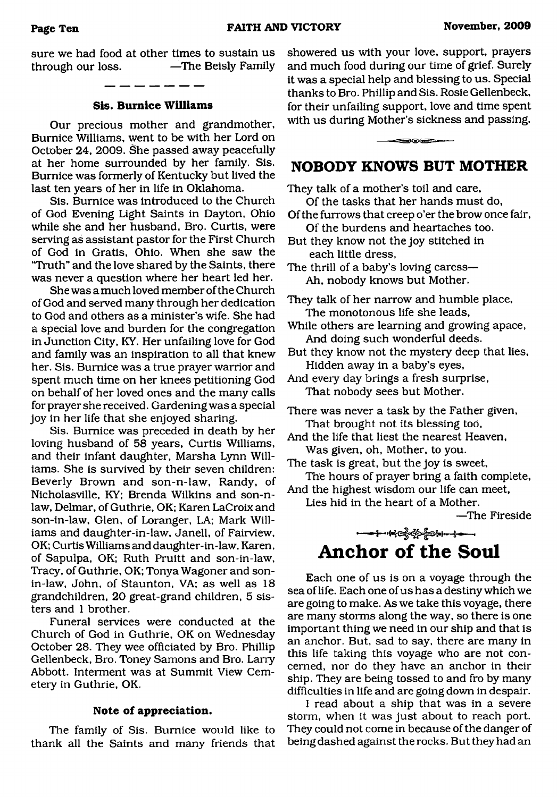sure we had food at other times to sustain us through our loss. —The Beisly Family

#### **Sis. Bumice Williams**

Our precious mother and grandmother, Bumice Williams, went to be with her Lord on October 24, 2009. She passed away peacefully at her home surrounded by her family. Sis. Bumice was formerly of Kentucky but lived the last ten years of her in life in Oklahoma.

Sis. Bumice was introduced to the Church of God Evening Light Saints in Dayton, Ohio while she and her husband, Bro. Curtis, were serving as assistant pastor for the First Church of God in Gratis, Ohio. When she saw the "Truth" and the love shared by the Saints, there was never a question where her heart led her.

She was a much loved member of the Church of God and served many through her dedication to God and others as a minister's wife. She had a special love and burden for the congregation in Junction City, KY. Her unfailing love for God and family was an inspiration to all that knew her. Sis. Bumice was a true prayer warrior and spent much time on her knees petitioning God on behalf of her loved ones and the many calls for prayer she received. Gardening was a special joy in her life that she enjoyed sharing.

Sis. Bumice was preceded in death by her loving husband of 58 years, Curtis Williams, and their infant daughter, Marsha Lynn Williams. She is survived by their seven children: Beverly Brown and son-n-law, Randy, of Nicholasville, KY; Brenda Wilkins and son-nlaw, Delmar, of Guthrie, OK; Karen LaCroix and son-in-law, Glen, of Loranger, LA; Mark Williams and daughter-in-law, Janell, of Fairview, OK; Curtis Williams and daughter-in-law. Karen, of Sapulpa, OK; Ruth Pruitt and son-in-law, Tracy, of Guthrie, OK; Tonya Wagoner and sonin-law, John, of Staunton, VA; as well as 18 grandchildren, 20 great-grand children, 5 sisters and 1 brother.

Funeral services were conducted at the Church of God in Guthrie, OK on Wednesday October 28. They wee officiated by Bro. Phillip Gellenbeck, Bro. Toney Samons and Bro. Larry Abbott. Interment was at Summit View Cemetery in Guthrie, OK.

#### **Note of appreciation.**

The family of Sis. Bumice would like to thank all the Saints and many friends that showered us with your love, support, prayers and much food during our time of grief. Surely it was a special help and blessing to us. Special thanks to Bro. Phillip and Sis. Rosie Gellenbeck, for their unfailing support, love and time spent with us during Mother's sickness and passing.

### <span id="page-9-0"></span>**NOBODY KNOWS BUT MOTHER**

≤≔≥⊙⊙

They talk of a mother's toil and care,

Of the tasks that her hands must do.

- Of the furrows that creep o'er the brow once fair, Of the burdens and heartaches too.
- But they know not the joy stitched in each little dress,
- The thrill of a baby's loving caress— Ah, nobody knows but Mother.
- They talk of her narrow and humble place, The monotonous life she leads,
- While others are learning and growing apace, And doing such wonderful deeds.

But they know not the mystery deep that lies, Hidden away in a baby's eyes,

And every day brings a fresh surprise, That nobody sees but Mother.

There was never a task by the Father given. That brought not its blessing too,

And the life that liest the nearest Heaven, Was given, oh, Mother, to you.

The task is great, but the joy is sweet, The hours of prayer bring a faith complete,

And the highest wisdom our life can meet,

<span id="page-9-1"></span>Lies hid in the heart of a Mother.

—The Fireside

### **Anchor of the Soul**

Each one of us is on a voyage through the sea of life. Each one of us has a destiny which we are going to make. As we take this voyage, there are many storms along the way, so there is one important thing we need in our ship and that is an anchor. But, sad to say, there are many in this life taking this voyage who are not concerned, nor do they have an anchor in their ship. They are being tossed to and fro by many difficulties in life and are going down in despair.

I read about a ship that was in a severe storm, when it was just about to reach port. They could not come in because of the danger of being dashed against the rocks. But they had an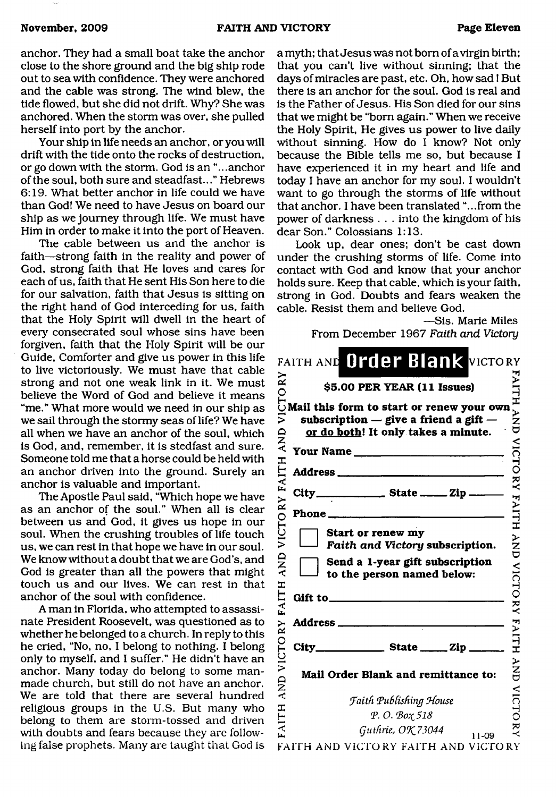anchor. They had a small boat take the anchor close to the shore ground and the big ship rode out to sea with confidence. They were anchored and the cable was strong. The wind blew, the tide flowed, but she did not drift. Why? She was anchored. When the storm was over, she pulled herself into port by the anchor.

Your ship in life needs an anchor, or you will drift with the tide onto the rocks of destruction, or go down with the storm. God is an ".. .anchor of the soul, both sure and steadfast..." Hebrews 6:19. What better anchor in life could we have than God! We need to have Jesus on board our ship as we journey through life. We must have Him in order to make it into the port of Heaven.

The cable between us and the anchor is faith—strong faith in the reality and power of God, strong faith that He loves and cares for each of us, faith that He sent His Son here to die for our salvation, faith that Jesus is sitting on the right hand of God interceding for us, faith that the Holy Spirit will dwell in the heart of every consecrated soul whose sins have been forgiven, faith that the Holy Spirit will be our Guide, Comforter and give us power in this life to live victoriously. We must have that cable strong and not one weak link in it. We must believe the Word of God and believe it means "me." What more would we need in our ship as we sail through the stormy seas of life? We have all when we have an anchor of the soul, which is God, and, remember, it is stedfast and sure. Someone told me that a horse could be held with an anchor driven into the ground. Surely an anchor is valuable and important.

The Apostle Paul said, "Which hope we have as an anchor of the soul." When all is clear between us and God, it gives us hope in our soul. When the crushing troubles of life touch us, we can rest in that hope we have in our soul. We know without a doubt that we are God's, and God is greater than all the powers that might touch us and our lives. We can rest in that anchor of the soul with confidence.

A man in Florida, who attempted to assassinate President Roosevelt, was questioned as to whether he belonged to a church. In reply to this he cried, "No, no, I belong to nothing. I belong only to myself, and I suffer." He didn't have an anchor. Many today do belong to some manmade church, but still do not have an anchor. We are told that there are several hundred religious groups in the U.S. But many who belong to them are storm-tossed and driven with doubts and fears because they are following false prophets. Many are taught that God is

a myth; that Jesus was not bom of a virgin birth; that you can't live without sinning; that the days of miracles are past, etc. Oh, how sad! But there is an anchor for the soul. God is real and is the Father of Jesus. His Son died for our sins that we might be "bom again." When we receive the Holy Spirit, He gives us power to live daily without sinning. How do I know? Not only because the Bible tells me so, but because I have experienced it in my heart and life and today I have an anchor for my soul. I wouldn't want to go through the storms of life without that anchor. I have been translated "...from the power of darkness . . . into the kingdom of his dear Son." Colossians 1:13.

Look up, dear ones; don't be cast down under the crushing storms of life. Come into contact with God and know that your anchor holds sure. Keep that cable, which is your faith, strong in God. Doubts and fears weaken the cable. Resist them and believe God.

—Sis. Marie Miles From December 1967 *Faith and Victory*

| $\stackrel{\textstyle\thicksim}{\mathbf{x}}$ | FAITH AND Order Blank VICTORY<br>\$5.00 PER YEAR (11 Issues)                                                                  | <b>FAITH</b>             |
|----------------------------------------------|-------------------------------------------------------------------------------------------------------------------------------|--------------------------|
| CTO<br>ミ<br>AND                              | Mail this form to start or renew your own<br>subscription $-$ give a friend a gift $-$<br>or do both! It only takes a minute. | –<br>N<br>U<br>U         |
|                                              | Your Name                                                                                                                     |                          |
| <b>FAITH</b>                                 |                                                                                                                               | <b>VICTORY</b>           |
|                                              | $City$ <sub>---</sub>                                                                                                         |                          |
|                                              | Phone.                                                                                                                        |                          |
| VICTORY<br>AND                               | Start or renew my<br>Faith and Victory subscription.<br>Send a 1-year gift subscription<br>to the person named below:         | <b>FAITH AND VICTORY</b> |
| FAITH                                        | Gift to <u>said</u>                                                                                                           |                          |
| RΥ                                           | Address                                                                                                                       |                          |
| VICTO                                        |                                                                                                                               | <b>FAITH</b>             |
| <b>QNY</b>                                   | Mail Order Blank and remittance to:                                                                                           | <b>ANA</b>               |
|                                              | <b>Faith Publishing House</b>                                                                                                 | <b>VICTORY</b>           |
| <b>FAITH</b>                                 | Φ.Ο. Βοχ 518                                                                                                                  |                          |
|                                              | Guthrie, OK 73044<br>11-09                                                                                                    |                          |